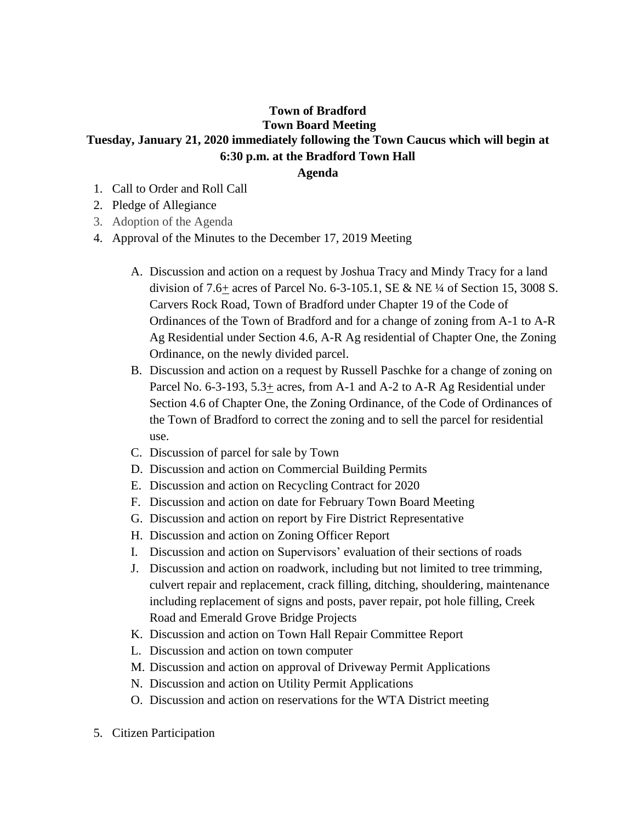## **Town of Bradford Town Board Meeting Tuesday, January 21, 2020 immediately following the Town Caucus which will begin at 6:30 p.m. at the Bradford Town Hall**

## **Agenda**

- 1. Call to Order and Roll Call
- 2. Pledge of Allegiance
- 3. Adoption of the Agenda
- 4. Approval of the Minutes to the December 17, 2019 Meeting
	- A. Discussion and action on a request by Joshua Tracy and Mindy Tracy for a land division of 7.6+ acres of Parcel No. 6-3-105.1, SE & NE  $\frac{1}{4}$  of Section 15, 3008 S. Carvers Rock Road, Town of Bradford under Chapter 19 of the Code of Ordinances of the Town of Bradford and for a change of zoning from A-1 to A-R Ag Residential under Section 4.6, A-R Ag residential of Chapter One, the Zoning Ordinance, on the newly divided parcel.
	- B. Discussion and action on a request by Russell Paschke for a change of zoning on Parcel No. 6-3-193,  $5.3\pm$  acres, from A-1 and A-2 to A-R Ag Residential under Section 4.6 of Chapter One, the Zoning Ordinance, of the Code of Ordinances of the Town of Bradford to correct the zoning and to sell the parcel for residential use.
	- C. Discussion of parcel for sale by Town
	- D. Discussion and action on Commercial Building Permits
	- E. Discussion and action on Recycling Contract for 2020
	- F. Discussion and action on date for February Town Board Meeting
	- G. Discussion and action on report by Fire District Representative
	- H. Discussion and action on Zoning Officer Report
	- I. Discussion and action on Supervisors' evaluation of their sections of roads
	- J. Discussion and action on roadwork, including but not limited to tree trimming, culvert repair and replacement, crack filling, ditching, shouldering, maintenance including replacement of signs and posts, paver repair, pot hole filling, Creek Road and Emerald Grove Bridge Projects
	- K. Discussion and action on Town Hall Repair Committee Report
	- L. Discussion and action on town computer
	- M. Discussion and action on approval of Driveway Permit Applications
	- N. Discussion and action on Utility Permit Applications
	- O. Discussion and action on reservations for the WTA District meeting
- 5. Citizen Participation